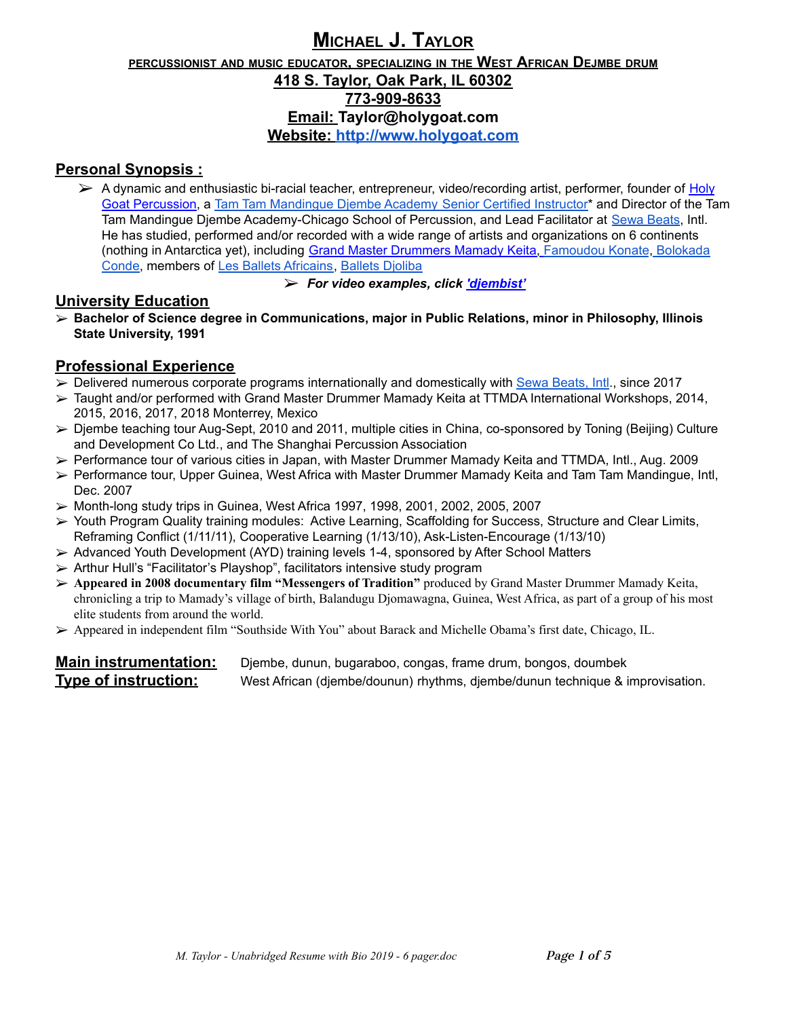# **MICHAEL J. TAYLOR**

### **PERCUSSIONIST AND MUSIC EDUCATOR, SPECIALIZING IN THE WEST AFRICAN DEJMBE DRUM 418 S. Taylor, Oak Park, IL 60302 773-909-8633 Email: [Taylor@holygoat.com](mailto:Taylor@holygoat.com) Website: <http://www.holygoat.com>**

## **Personal Synopsis :**

- $\triangleright$  A dynamic and enthusiastic bi-racial teacher, entrepreneur, video/recording artist, performer, founder of [Holy](http://www.holygoat.com/) Goat [Percussion](http://www.holygoat.com/), a Tam Tam [Mandingue](https://www.ttmda.com/teachers?cat=locations/north-america/&s=taylor) Djembe Academy Senior Certified Instructor\* and Director of the Tam Tam Mandingue Djembe Academy-Chicago School of Percussion, and Lead Facilitator at Sewa [Beats](https://sewabeatsusa.com/our-team/), Intl. He has studied, performed and/or recorded with a wide range of artists and organizations on 6 continents (nothing in Antarctica yet), including Grand Master [Drummers](http://www.ttmda.com/mamady-keita) Mamady Keita, [Famoudou](https://en.wikipedia.org/wiki/Famoudou_Konat%C3%A9) Konate, [Bolokada](https://bolokada.com/) [Conde,](https://bolokada.com/) members of Les Ballets [Africains,](https://en.wikipedia.org/wiki/Les_Ballets_Africains) Ballets [Djoliba](https://www.ttmda.com/mamady-keita/ballet-djoliba)
	- ➢ *For video examples, click ['djembist'](http://www.youtube.com/user/Djembist/videos)*

### **University Education**

➢ **Bachelor of Science degree in Communications, major in Public Relations, minor in Philosophy, Illinois State University, 1991**

# **Professional Experience**

- $\triangleright$  Delivered numerous corporate programs internationally and domestically with Sewa [Beats,](https://sewabeatsusa.com/our-team/) Intl., since 2017
- ➢ Taught and/or performed with Grand Master Drummer Mamady Keita at TTMDA International Workshops, 2014, 2015, 2016, 2017, 2018 Monterrey, Mexico
- ➢ Djembe teaching tour Aug-Sept, 2010 and 2011, multiple cities in China, co-sponsored by Toning (Beijing) Culture and Development Co Ltd., and The Shanghai Percussion Association
- ➢ Performance tour of various cities in Japan, with Master Drummer Mamady Keita and TTMDA, Intl., Aug. 2009
- ➢ Performance tour, Upper Guinea, West Africa with Master Drummer Mamady Keita and Tam Tam Mandingue, Intl, Dec. 2007
- $\triangleright$  Month-long study trips in Guinea, West Africa 1997, 1998, 2001, 2002, 2005, 2007
- ➢ Youth Program Quality training modules: Active Learning, Scaffolding for Success, Structure and Clear Limits, Reframing Conflict (1/11/11), Cooperative Learning (1/13/10), Ask-Listen-Encourage (1/13/10)
- ➢ Advanced Youth Development (AYD) training levels 1-4, sponsored by After School Matters
- ➢ Arthur Hull's "Facilitator's Playshop", facilitators intensive study program
- ➢ **Appeared in 2008 documentary film "Messengers of Tradition"** produced by Grand Master Drummer Mamady Keita, chronicling a trip to Mamady's village of birth, Balandugu Djomawagna, Guinea, West Africa, as part of a group of his most elite students from around the world.
- ➢ Appeared in independent film "Southside With You" about Barack and Michelle Obama's first date, Chicago, IL.

**Main instrumentation:** Djembe, dunun, bugaraboo, congas, frame drum, bongos, doumbek **Type of instruction:** West African (djembe/dounun) rhythms, djembe/dunun technique & improvisation.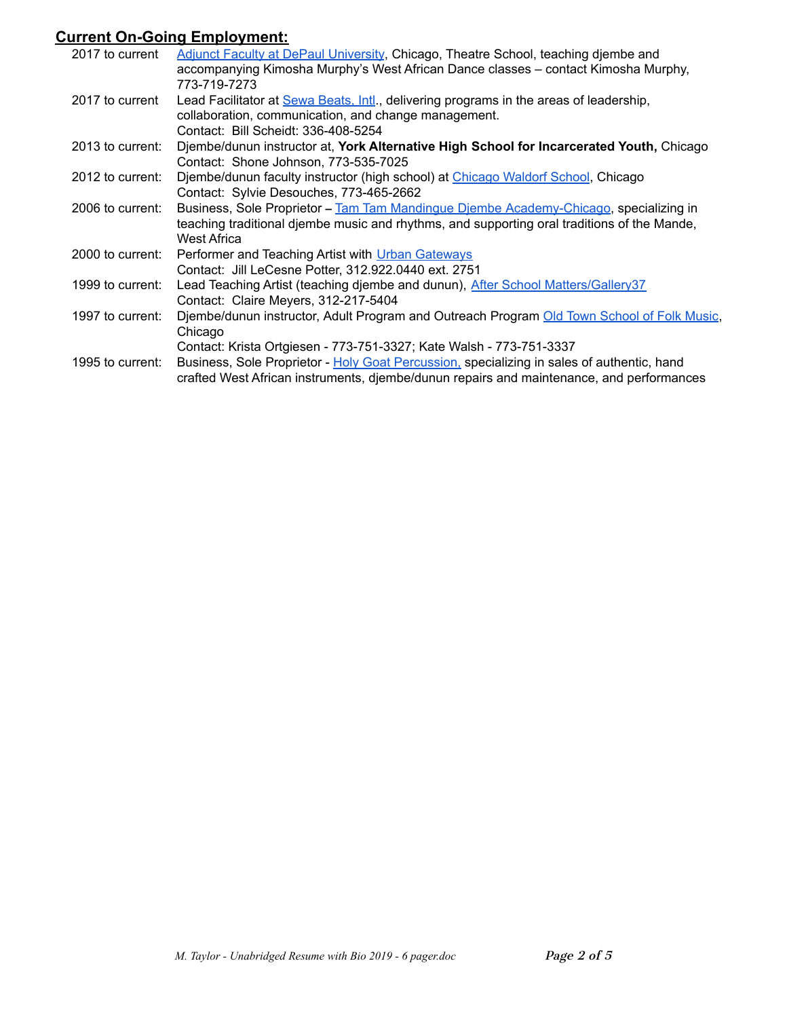# **Current On-Going Employment:**

| 2017 to current  | Adjunct Faculty at DePaul University, Chicago, Theatre School, teaching djembe and          |
|------------------|---------------------------------------------------------------------------------------------|
|                  | accompanying Kimosha Murphy's West African Dance classes – contact Kimosha Murphy,          |
|                  | 773-719-7273                                                                                |
| 2017 to current  | Lead Facilitator at Sewa Beats, Intl., delivering programs in the areas of leadership,      |
|                  | collaboration, communication, and change management.                                        |
|                  | Contact: Bill Scheidt: 336-408-5254                                                         |
| 2013 to current: | Djembe/dunun instructor at, York Alternative High School for Incarcerated Youth, Chicago    |
|                  | Contact: Shone Johnson, 773-535-7025                                                        |
| 2012 to current: | Djembe/dunun faculty instructor (high school) at Chicago Waldorf School, Chicago            |
|                  | Contact: Sylvie Desouches, 773-465-2662                                                     |
| 2006 to current: | Business, Sole Proprietor - Tam Tam Mandingue Diembe Academy-Chicago, specializing in       |
|                  | teaching traditional djembe music and rhythms, and supporting oral traditions of the Mande, |
|                  | West Africa                                                                                 |
| 2000 to current: | Performer and Teaching Artist with Urban Gateways                                           |
|                  | Contact: Jill LeCesne Potter, 312.922.0440 ext. 2751                                        |
| 1999 to current: | Lead Teaching Artist (teaching djembe and dunun), After School Matters/Gallery37            |
|                  | Contact: Claire Meyers, 312-217-5404                                                        |
| 1997 to current: | Djembe/dunun instructor, Adult Program and Outreach Program Old Town School of Folk Music,  |
|                  | Chicago                                                                                     |
|                  | Contact: Krista Ortgiesen - 773-751-3327; Kate Walsh - 773-751-3337                         |
| 1995 to current: | Business, Sole Proprietor - Holy Goat Percussion, specializing in sales of authentic, hand  |
|                  | crafted West African instruments, djembe/dunun repairs and maintenance, and performances    |
|                  |                                                                                             |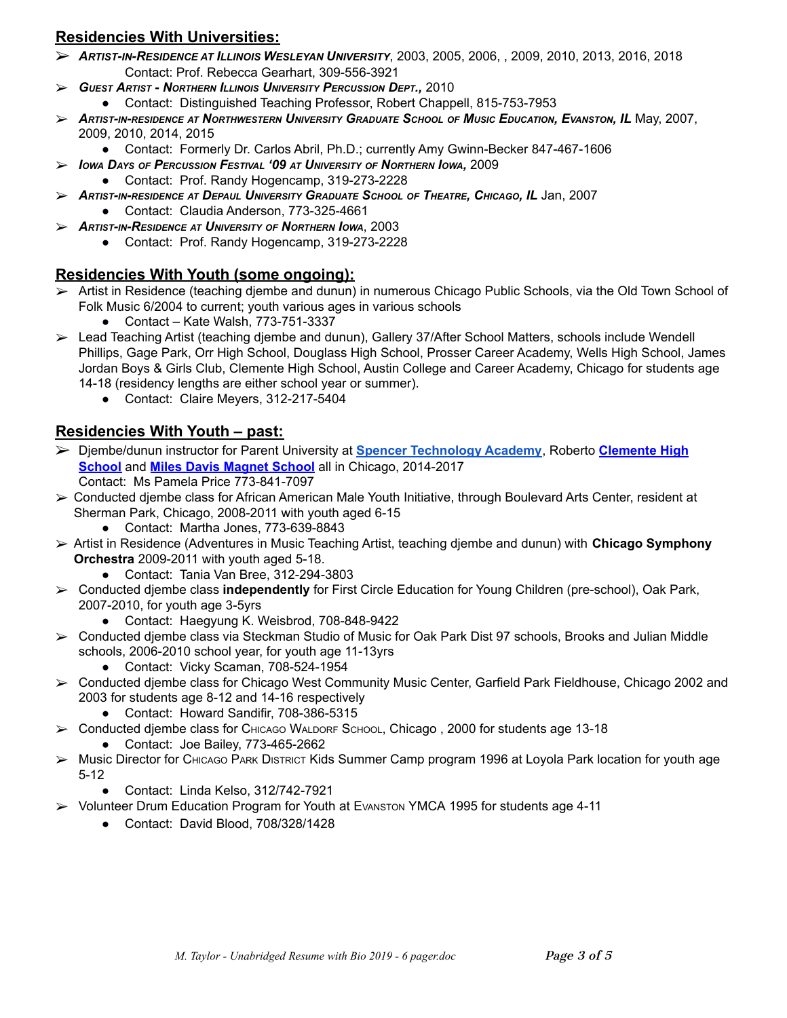# **Residencies With Universities:**

- ➢ *ARTIST-IN-RESIDENCE AT ILLINOIS WESLEYAN U[NIVERSITY](https://www.iwu.edu/anthropology/faculty/RebeccaGearhart.html)*, 2003, 2005, 2006, , 2009, 2010, 2013, 2016, 2018 Contact: Prof. Rebecca Gearhart, 309-556-3921
- ➢ *GUEST ARTIST - NORTHERN ILLINOIS U[NIVERSITY](http://www.niu.edu/music/faculty/rchappell.shtml) PERCUSSION DEPT.,* 2010
	- Contact: Distinguished Teaching Professor, Robert Chappell, 815-753-7953
- $\triangleright$  Artist-in-residence at Northwestern University Graduate School of Music Education, Evanston, IL May, 2007, 2009, 2010, 2014, 2015
	- Contact: Formerly Dr. Carlos Abril, Ph.D.; currently Amy Gwinn-Becker 847-467-1606
- ➢ *IOWA DAYS OF PERCUSSION FESTIVAL '09 AT U[NIVERSITY](http://www.uni.edu/music/randy-hogancamp) OF NORTHERN IOWA,* 2009
	- Contact: Prof. Randy Hogencamp, 319-273-2228
- > ARTIST-IN-RESIDENCE AT DEPAUL U[NIVERSITY](http://theatre.depaul.edu/about/faculty-and-staff/performance/Pages/claudia-anderson.aspx) GRADUATE SCHOOL OF THEATRE, CHICAGO, IL Jan, 2007 ● Contact: Claudia Anderson, 773-325-4661
- ➢ *ARTIST-IN-RESIDENCE AT U[NIVERSITY](http://www.uni.edu/music/randy-hogancamp) OF NORTHERN IOWA*, 2003
	- Contact: Prof. Randy Hogencamp, 319-273-2228

#### **Residencies With Youth (some ongoing):**

- ➢ Artist in Residence (teaching djembe and dunun) in numerous Chicago Public Schools, via the Old Town School of Folk Music 6/2004 to current; youth various ages in various schools
	- Contact Kate Walsh,  $773-751-3337$
- ➢ Lead Teaching Artist (teaching djembe and dunun), Gallery 37/After School Matters, schools include Wendell Phillips, Gage Park, Orr High School, Douglass High School, Prosser Career Academy, Wells High School, James Jordan Boys & Girls Club, Clemente High School, Austin College and Career Academy, Chicago for students age 14-18 (residency lengths are either school year or summer).
	- Contact: Claire Meyers, 312-217-5404

# **Residencies With Youth – past:**

- ➢ Djembe/dunun instructor for Parent University at **Spencer [Technology](https://spencertech.cps.edu/) Academy**, Roberto **[Clemente](http://www.rccachicago.org/) High [School](http://www.rccachicago.org/)** and **Miles Davis [Magnet](http://www.milesdavismagnet.org/) School** all in Chicago, 2014-2017 Contact: Ms Pamela Price 773-841-7097
- ➢ Conducted djembe class for African American Male Youth Initiative, through Boulevard Arts Center, resident at Sherman Park, Chicago, 2008-2011 with youth aged 6-15
	- Contact: Martha Jones, 773-639-8843
- ➢ Artist in Residence (Adventures in Music Teaching Artist, teaching djembe and dunun) with **Chicago Symphony Orchestra** 2009-2011 with youth aged 5-18.
	- Contact: Tania Van Bree, 312-294-3803
- ➢ Conducted djembe class **independently** for First Circle Education for Young Children (pre-school), Oak Park, 2007-2010, for youth age 3-5yrs
	- Contact: Haegyung K. Weisbrod, 708-848-9422
- ➢ Conducted djembe class via Steckman Studio of Music for Oak Park Dist 97 schools, Brooks and Julian Middle schools, 2006-2010 school year, for youth age 11-13yrs
	- Contact: Vicky Scaman, 708-524-1954
- ➢ Conducted djembe class for Chicago West Community Music Center, Garfield Park Fieldhouse, Chicago 2002 and 2003 for students age 8-12 and 14-16 respectively
	- Contact: Howard Sandifir, 708-386-5315
- ➢ Conducted djembe class for CHICAGO WALDORF SCHOOL, Chicago , 2000 for students age 13-18
	- Contact: Joe Bailey, 773-465-2662
- ➢ Music Director for CHICAGO PARK DISTRICT Kids Summer Camp program 1996 at Loyola Park location for youth age 5-12
	- Contact: Linda Kelso, 312/742-7921
- ➢ Volunteer Drum Education Program for Youth at EVANSTON YMCA 1995 for students age 4-11
	- Contact: David Blood, 708/328/1428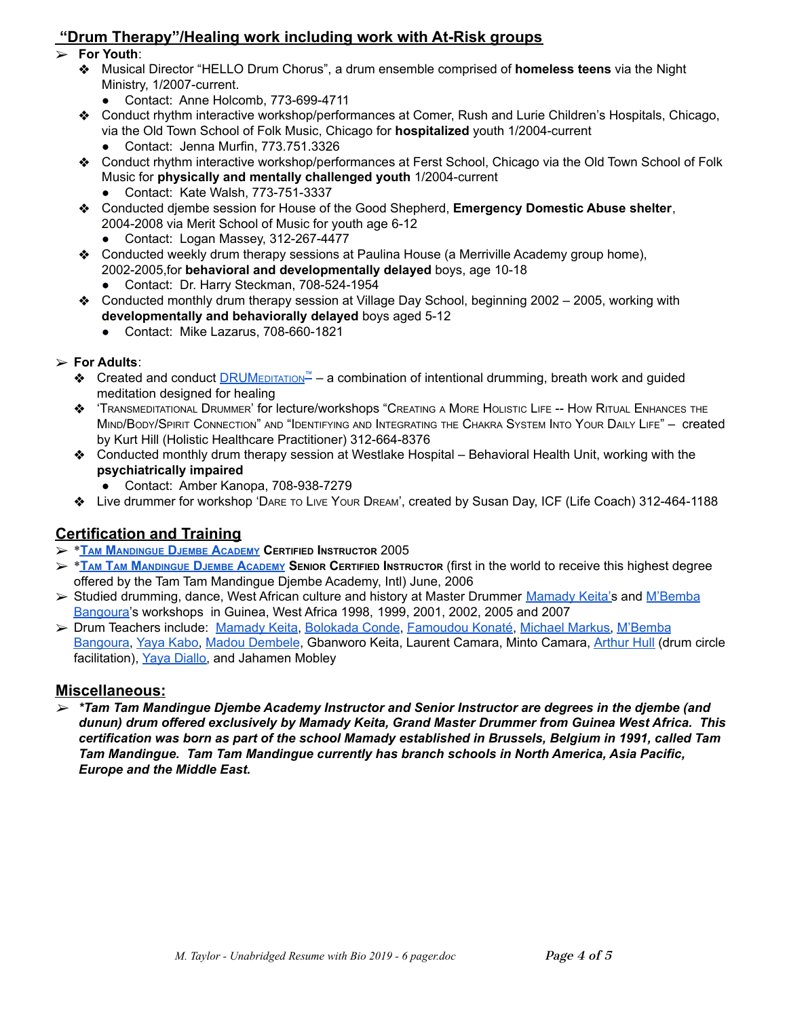# **"Drum Therapy"/Healing work including work with At-Risk groups**

- ➢ **For Youth**:
	- ❖ Musical Director "HELLO Drum Chorus", a drum ensemble comprised of **homeless teens** via the Night Ministry, 1/2007-current.
		- Contact: Anne Holcomb, 773-699-4711
	- ❖ Conduct rhythm interactive workshop/performances at Comer, Rush and Lurie Children's Hospitals, Chicago, via the Old Town School of Folk Music, Chicago for **hospitalized** youth 1/2004-current ● Contact: Jenna Murfin, [773.751.3326](tel:773.751.3326)
	- ❖ Conduct rhythm interactive workshop/performances at Ferst School, Chicago via the Old Town School of Folk Music for **physically and mentally challenged youth** 1/2004-current
		- Contact: Kate Walsh, 773-751-3337
	- ❖ Conducted djembe session for House of the Good Shepherd, **Emergency Domestic Abuse shelter**, 2004-2008 via Merit School of Music for youth age 6-12
		- Contact: Logan Massey, [312-267-4477](tel:312-267-4477)
	- ❖ Conducted weekly drum therapy sessions at Paulina House (a Merriville Academy group home), 2002-2005,for **behavioral and developmentally delayed** boys, age 10-18
		- Contact: Dr. Harry Steckman, 708-524-1954
	- ❖ Conducted monthly drum therapy session at Village Day School, beginning 2002 2005, working with **developmentally and behaviorally delayed** boys aged 5-12
		- Contact: Mike Lazarus, 708-660-1821

#### ➢ **For Adults**:

- $\diamond$  Created and conduct [DRUM](https://www.holygoat.com/about/drumeditation/)EDITATION<sup>™</sup> a combination of intentional drumming, breath work and guided meditation designed for healing
- ❖ 'TRANSMEDITATIONAL DRUMMER' for lecture/workshops "CREATING <sup>A</sup> MORE HOLISTIC LIFE -- HOW RITUAL ENHANCES THE MIND/BODY/SPIRIT CONNECTION" AND "IDENTIFYING AND INTEGRATING THE CHAKRA SYSTEM INTO YOUR DAILY LIFE" – created by Kurt Hill (Holistic Healthcare [Practitioner\)](http://holistichealthpractice.net/practitioners/kurt-hill-lmt/) 312-664-8376
- ❖ Conducted monthly drum therapy session at Westlake Hospital Behavioral Health Unit, working with the **psychiatrically impaired**
	- Contact: Amber Kanopa, 708-938-7279
- ❖ Live drummer for workshop 'DARE TO LIVE YOUR DREAM', created by Susan Day, ICF (Life Coach) 312-464-1188

# **Certification and Training**

- ➢ \***TAM M[ANDINGUE](http://www.ttmda.com/) DJEMBE ACADEMY CERTIFIED INSTRUCTOR** 2005
- > \*TAM TAM M[ANDINGUE](http://www.ttmda.com/) DJEMBE ACADEMY SENIOR CERTIFIED INSTRUCTOR (first in the world to receive this highest degree offered by the Tam Tam Mandingue Djembe Academy, Intl) June, 2006
- ➢ Studied drumming, dance, West African culture and history at Master Drummer [Mamady](https://www.ttmda.com/mamady-keita/introduction) Keita's and [M'Bemba](https://wuladrum.com/blogs/articles/106773511-wula-profile-mbemba-bangoura) [Bangoura'](https://wuladrum.com/blogs/articles/106773511-wula-profile-mbemba-bangoura)s workshops in Guinea, West Africa 1998, 1999, 2001, 2002, 2005 and 2007
- ➢ Drum Teachers include: [Mamady](https://www.ttmda.com/mamady-keita/introduction) Keita, [Bolokada](https://bolokada.com/) Conde, [Famoudou](https://en.wikipedia.org/wiki/Famoudou_Konat%C3%A9) Konaté, [Michael](https://wuladrum.com/pages/the-wula-team) Markus, [M'Bemba](https://wuladrum.com/blogs/articles/106773511-wula-profile-mbemba-bangoura) [Bangoura,](https://wuladrum.com/blogs/articles/106773511-wula-profile-mbemba-bangoura) Yaya [Kabo,](https://www.youtube.com/watch?v=6iNrUjJ0qv8) Madou [Dembele](http://www.geocities.ws/madoudrum/), Gbanworo Keita, Laurent Camara, Minto Camara, [Arthur](https://villagemusiccircles.com/) Hull (drum circle facilitation), Yaya [Diallo,](https://en.wikipedia.org/wiki/Yaya_Diallo) and Jahamen Mobley

#### **Miscellaneous:**

➢ *\*Tam Tam Mandingue Djembe Academy Instructor and Senior Instructor are degrees in the djembe (and dunun) drum offered exclusively by Mamady Keita, Grand Master Drummer from Guinea West Africa. This certification was born as part of the school Mamady established in Brussels, Belgium in 1991, called Tam Tam Mandingue. Tam Tam Mandingue currently has branch schools in North America, Asia Pacific, Europe and the Middle East.*